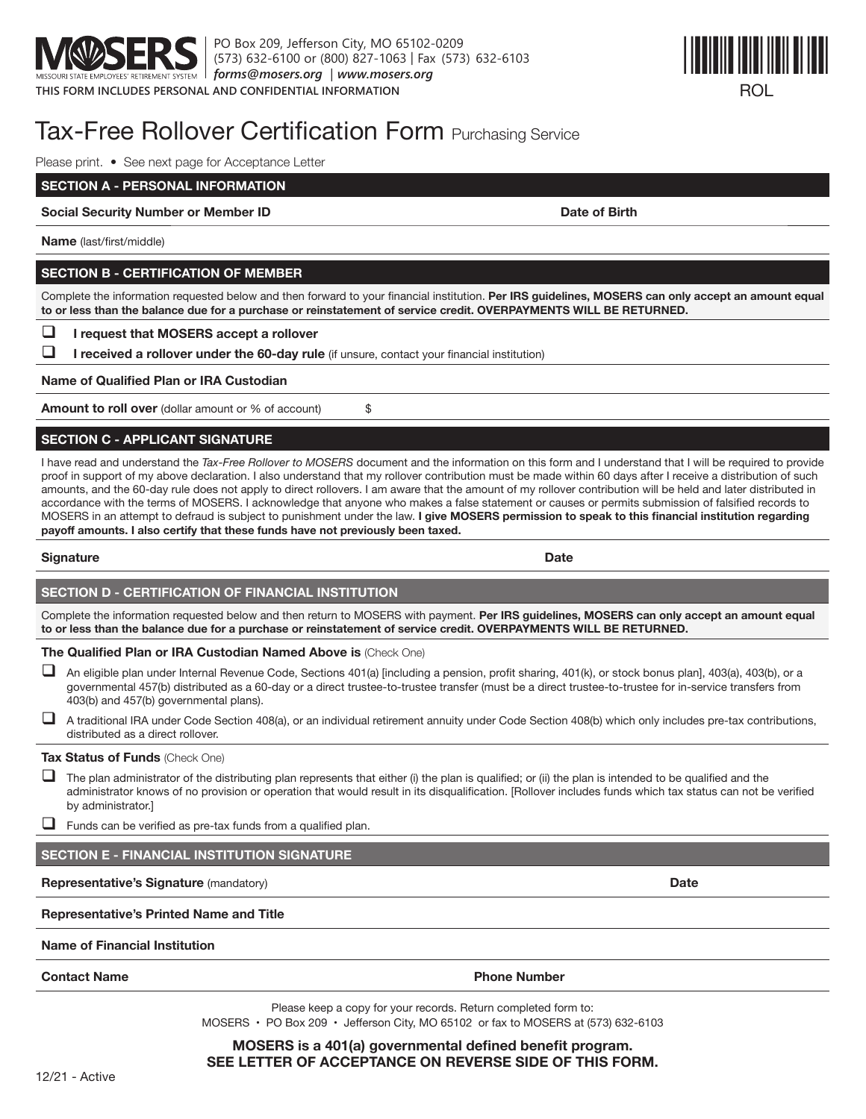

PO Box 209, Jefferson City, MO 65102-0209 (573) 632-6100 or (800) 827-1063 | Fax (573) 632-6103 *forms@mosers.org* | *www.mosers.org*



# Tax-Free Rollover Certification Form Purchasing Service

Please print. • See next page for Acceptance Letter

**SECTION A - PERSONAL INFORMATION**

**Social Security Number or Member ID Date of Birth Date of Birth** 

**Name** (last/first/middle)

# **SECTION B - CERTIFICATION OF MEMBER**

Complete the information requested below and then forward to your financial institution. Per IRS guidelines, MOSERS can only accept an amount equal **to or less than the balance due for a purchase or reinstatement of service credit. OVERPAYMENTS WILL BE RETURNED.**

**I** I request that MOSERS accept a rollover

**I** received a rollover under the 60-day rule (if unsure, contact your financial institution)

**Name of Qualified Plan or IRA Custodian** 

**Amount to roll over** (dollar amount or % of account)  $\$ 

# **SECTION C - APPLICANT SIGNATURE**

I have read and understand the Tax-Free Rollover to MOSERS document and the information on this form and I understand that I will be required to provide proof in support of my above declaration. I also understand that my rollover contribution must be made within 60 days after I receive a distribution of such amounts, and the 60-day rule does not apply to direct rollovers. I am aware that the amount of my rollover contribution will be held and later distributed in accordance with the terms of MOSERS. I acknowledge that anyone who makes a false statement or causes or permits submission of falsified records to MOSERS in an attempt to defraud is subject to punishment under the law. I give MOSERS permission to speak to this financial institution regarding payoff amounts. I also certify that these funds have not previously been taxed.

# **Signature Date**

# **SECTION D - CERTIFICATION OF FINANCIAL INSTITUTION**

Complete the information requested below and then return to MOSERS with payment. Per IRS guidelines, MOSERS can only accept an amount equal **to or less than the balance due for a purchase or reinstatement of service credit. OVERPAYMENTS WILL BE RETURNED.**

# **The Qualified Plan or IRA Custodian Named Above is (Check One)**

- An eligible plan under Internal Revenue Code, Sections 401(a) [including a pension, profit sharing, 401(k), or stock bonus plan], 403(a), 403(b), or a governmental 457(b) distributed as a 60-day or a direct trustee-to-trustee transfer (must be a direct trustee-to-trustee for in-service transfers from 403(b) and 457(b) governmental plans).
- $\Box$  A traditional IRA under Code Section 408(a), or an individual retirement annuity under Code Section 408(b) which only includes pre-tax contributions, distributed as a direct rollover.

# **Tax Status of Funds** (Check One)

- $\Box$  The plan administrator of the distributing plan represents that either (i) the plan is qualified; or (ii) the plan is intended to be qualified and the administrator knows of no provision or operation that would result in its disqualification. [Rollover includes funds which tax status can not be verified by administrator.]
- $\Box$  Funds can be verified as pre-tax funds from a qualified plan.

# **SECTION E - FINANCIAL INSTITUTION SIGNATURE**

# **Representative's Signature** (mandatory) **Date**

# **Representative's Printed Name and Title**

# **Name of Financial Institution**

**Contact Name Phone Aumber** Phone Number

Please keep a copy for your records. Return completed form to: MOSERS  $\cdot$  PO Box 209  $\cdot$  Jefferson City, MO 65102 or fax to MOSERS at (573) 632-6103

# **MOSERS** is a 401(a) governmental defined benefit program. **SEE LETTER OF ACCEPTANCE ON REVERSE SIDE OF THIS FORM.**